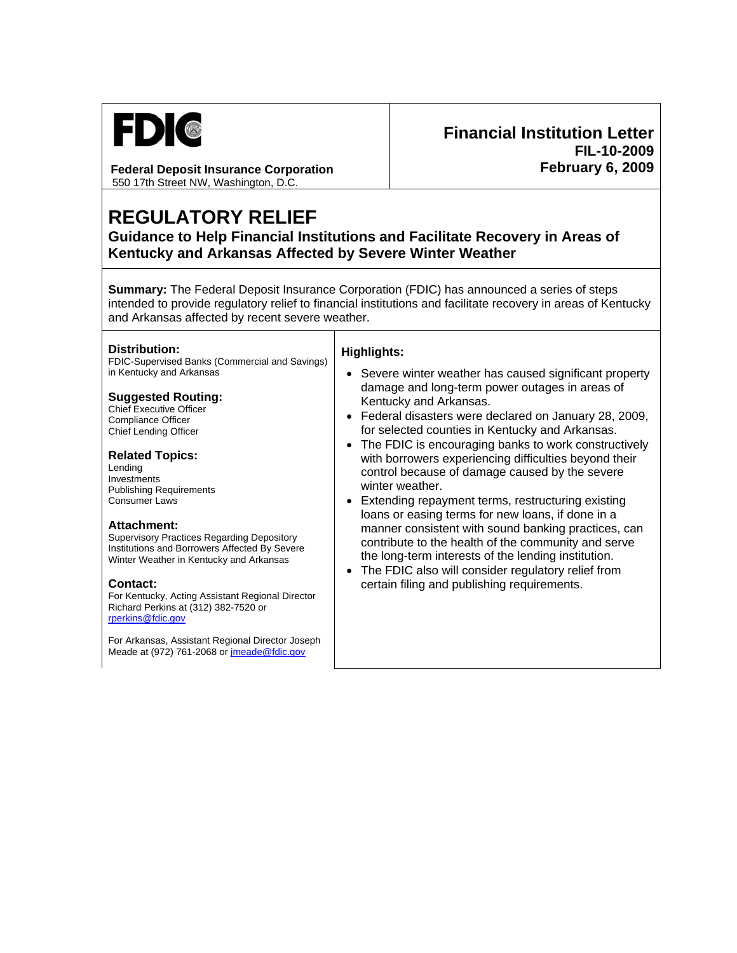

**Federal Deposit Insurance Corporation**  550 17th Street NW, Washington, D.C.

# **Financial Institution Letter FIL-10-2009 February 6, 2009**

# **REGULATORY RELIEF**

**Guidance to Help Financial Institutions and Facilitate Recovery in Areas of Kentucky and Arkansas Affected by Severe Winter Weather**

**Summary:** The Federal Deposit Insurance Corporation (FDIC) has announced a series of steps intended to provide regulatory relief to financial institutions and facilitate recovery in areas of Kentucky and Arkansas affected by recent severe weather.

#### **Distribution:**

FDIC-Supervised Banks (Commercial and Savings) in Kentucky and Arkansas

#### **Suggested Routing:**

Chief Executive Officer Compliance Officer Chief Lending Officer

#### **Related Topics:**

Lending Investments Publishing Requirements Consumer Laws

#### **Attachment:**

Supervisory Practices Regarding Depository Institutions and Borrowers Affected By Severe Winter Weather in Kentucky and Arkansas

For Kentucky, Acting Assistant Regional Director Richard Perkins at (312) 382-7520 or [rperkins@fdic.gov](mailto:rperkins@fdic.gov)

For Arkansas, Assistant Regional Director Joseph Meade at (972) 761-2068 or [jmeade@fdic.gov](mailto:jmeade@fdic.gov)

### **Highlights:**

- Severe winter weather has caused significant property damage and long-term power outages in areas of Kentucky and Arkansas.
- Federal disasters were declared on January 28, 2009, for selected counties in Kentucky and Arkansas.
- The FDIC is encouraging banks to work constructively with borrowers experiencing difficulties beyond their control because of damage caused by the severe winter weather.
- Extending repayment terms, restructuring existing loans or easing terms for new loans, if done in a manner consistent with sound banking practices, can contribute to the health of the community and serve the long-term interests of the lending institution.
- The FDIC also will consider regulatory relief from **Contact: certain filing and publishing requirements.**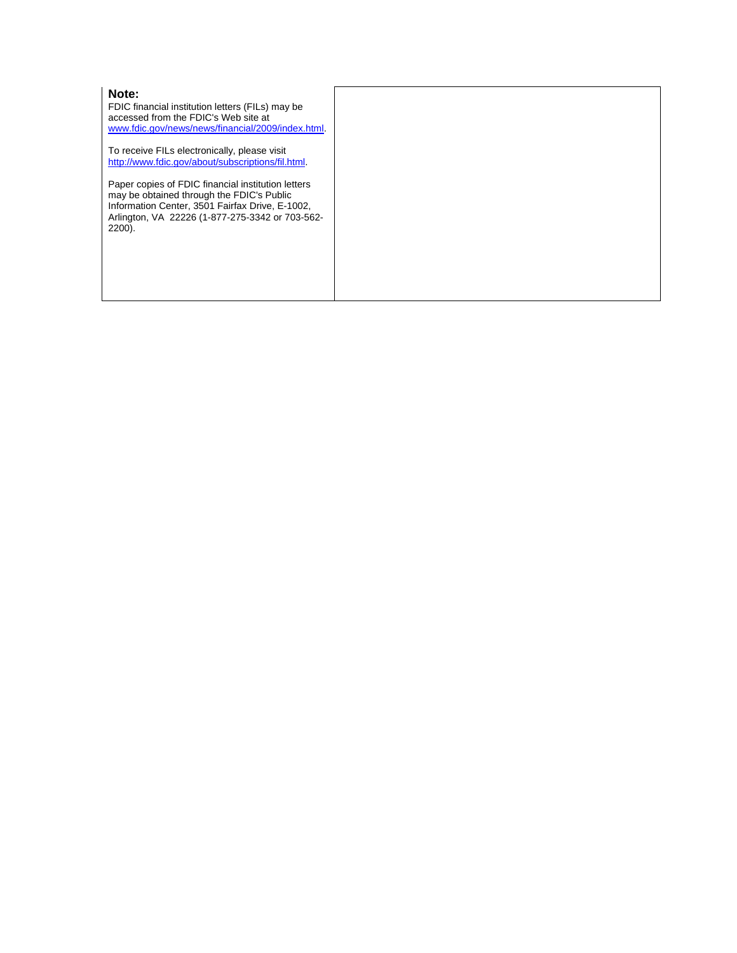#### **Note:**

FDIC financial institution letters (FILs) may be accessed from the FDIC's Web site at [www.fdic.gov/news/news/financial/2009/index.html](http://www.fdic.gov/news/news/financial/2009/index.html).

To receive FILs electronically, please visit [http://www.fdic.gov/about/subscriptions/fil.html.](http://www.fdic.gov/about/subscriptions/index.html)

Paper copies of FDIC financial institution letters may be obtained through the FDIC's Public Information Center, 3501 Fairfax Drive, E-1002, Arlington, VA 22226 (1-877-275-3342 or 703-562- 2200).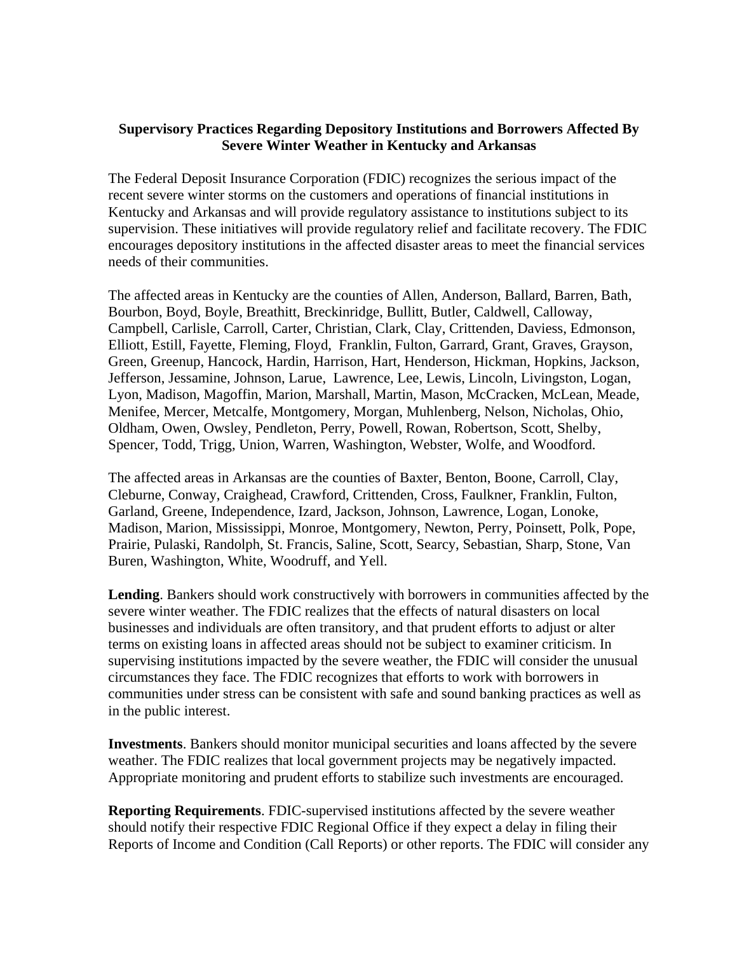## **Supervisory Practices Regarding Depository Institutions and Borrowers Affected By Severe Winter Weather in Kentucky and Arkansas**

The Federal Deposit Insurance Corporation (FDIC) recognizes the serious impact of the recent severe winter storms on the customers and operations of financial institutions in Kentucky and Arkansas and will provide regulatory assistance to institutions subject to its supervision. These initiatives will provide regulatory relief and facilitate recovery. The FDIC encourages depository institutions in the affected disaster areas to meet the financial services needs of their communities.

The affected areas in Kentucky are the counties of Allen, Anderson, Ballard, Barren, Bath, Bourbon, Boyd, Boyle, Breathitt, Breckinridge, Bullitt, Butler, Caldwell, Calloway, Campbell, Carlisle, Carroll, Carter, Christian, Clark, Clay, Crittenden, Daviess, Edmonson, Elliott, Estill, Fayette, Fleming, Floyd, Franklin, Fulton, Garrard, Grant, Graves, Grayson, Green, Greenup, Hancock, Hardin, Harrison, Hart, Henderson, Hickman, Hopkins, Jackson, Jefferson, Jessamine, Johnson, Larue, Lawrence, Lee, Lewis, Lincoln, Livingston, Logan, Lyon, Madison, Magoffin, Marion, Marshall, Martin, Mason, McCracken, McLean, Meade, Menifee, Mercer, Metcalfe, Montgomery, Morgan, Muhlenberg, Nelson, Nicholas, Ohio, Oldham, Owen, Owsley, Pendleton, Perry, Powell, Rowan, Robertson, Scott, Shelby, Spencer, Todd, Trigg, Union, Warren, Washington, Webster, Wolfe, and Woodford.

The affected areas in Arkansas are the counties of Baxter, Benton, Boone, Carroll, Clay, Cleburne, Conway, Craighead, Crawford, Crittenden, Cross, Faulkner, Franklin, Fulton, Garland, Greene, Independence, Izard, Jackson, Johnson, Lawrence, Logan, Lonoke, Madison, Marion, Mississippi, Monroe, Montgomery, Newton, Perry, Poinsett, Polk, Pope, Prairie, Pulaski, Randolph, St. Francis, Saline, Scott, Searcy, Sebastian, Sharp, Stone, Van Buren, Washington, White, Woodruff, and Yell.

**Lending**. Bankers should work constructively with borrowers in communities affected by the severe winter weather. The FDIC realizes that the effects of natural disasters on local businesses and individuals are often transitory, and that prudent efforts to adjust or alter terms on existing loans in affected areas should not be subject to examiner criticism. In supervising institutions impacted by the severe weather, the FDIC will consider the unusual circumstances they face. The FDIC recognizes that efforts to work with borrowers in communities under stress can be consistent with safe and sound banking practices as well as in the public interest.

**Investments**. Bankers should monitor municipal securities and loans affected by the severe weather. The FDIC realizes that local government projects may be negatively impacted. Appropriate monitoring and prudent efforts to stabilize such investments are encouraged.

**Reporting Requirements**. FDIC-supervised institutions affected by the severe weather should notify their respective FDIC Regional Office if they expect a delay in filing their Reports of Income and Condition (Call Reports) or other reports. The FDIC will consider any